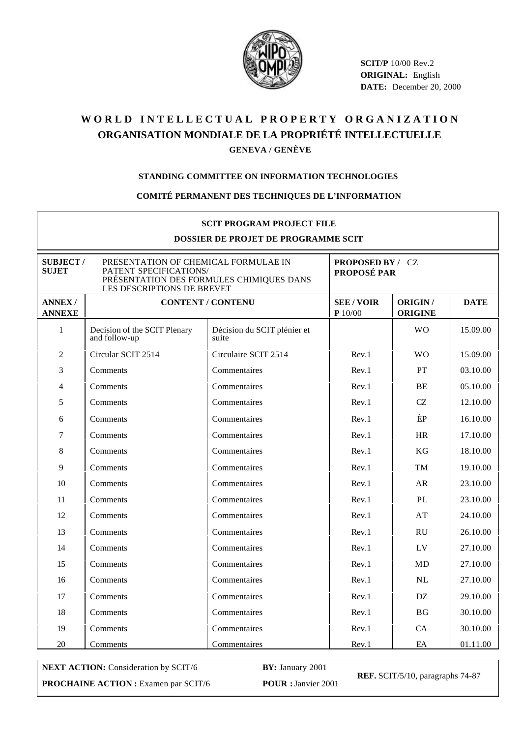

**SCIT/P** 10/00 Rev.2 **ORIGINAL:** English **DATE:** December 20, 2000

# WORLD INTELLECTUAL PROPERTY ORGANIZATION **ORGANISATION MONDIALE DE LA PROPRIÉTÉ INTELLECTUELLE GENEVA / GENÈVE**

### **STANDING COMMITTEE ON INFORMATION TECHNOLOGIES**

#### **COMITÉ PERMANENT DES TECHNIQUES DE L'INFORMATION**

| <b>SCIT PROGRAM PROJECT FILE</b><br>DOSSIER DE PROJET DE PROGRAMME SCIT                                                                                                     |                                               |                                      |                                 |                           |             |  |  |  |
|-----------------------------------------------------------------------------------------------------------------------------------------------------------------------------|-----------------------------------------------|--------------------------------------|---------------------------------|---------------------------|-------------|--|--|--|
| <b>SUBJECT/</b><br>PRESENTATION OF CHEMICAL FORMULAE IN<br><b>SUJET</b><br>PATENT SPECIFICATIONS/<br>PRÉSENTATION DES FORMULES CHIMIQUES DANS<br>LES DESCRIPTIONS DE BREVET |                                               |                                      | PROPOSED BY / CZ<br>PROPOSÉ PAR |                           |             |  |  |  |
| <b>ANNEX/</b><br><b>ANNEXE</b>                                                                                                                                              | <b>CONTENT / CONTENU</b>                      |                                      | <b>SEE/VOIR</b><br>P10/00       | ORIGIN/<br><b>ORIGINE</b> | <b>DATE</b> |  |  |  |
| $\mathbf{1}$                                                                                                                                                                | Decision of the SCIT Plenary<br>and follow-up | Décision du SCIT plénier et<br>suite |                                 | <b>WO</b>                 | 15.09.00    |  |  |  |
| $\overline{c}$                                                                                                                                                              | Circular SCIT 2514                            | Circulaire SCIT 2514                 | Rev.1                           | <b>WO</b>                 | 15.09.00    |  |  |  |
| 3                                                                                                                                                                           | Comments                                      | Commentaires                         | Rev.1                           | <b>PT</b>                 | 03.10.00    |  |  |  |
| $\overline{4}$                                                                                                                                                              | Comments                                      | Commentaires                         | Rev.1                           | BE                        | 05.10.00    |  |  |  |
| 5                                                                                                                                                                           | Comments                                      | Commentaires                         | Rev.1                           | CZ                        | 12.10.00    |  |  |  |
| 6                                                                                                                                                                           | Comments                                      | Commentaires                         | Rev.1                           | ÈP                        | 16.10.00    |  |  |  |
| 7                                                                                                                                                                           | Comments                                      | Commentaires                         | Rev.1                           | <b>HR</b>                 | 17.10.00    |  |  |  |
| 8                                                                                                                                                                           | Comments                                      | Commentaires                         | Rev.1                           | KG                        | 18.10.00    |  |  |  |
| 9                                                                                                                                                                           | Comments                                      | Commentaires                         | Rev.1                           | TM                        | 19.10.00    |  |  |  |
| 10                                                                                                                                                                          | Comments                                      | Commentaires                         | Rev.1                           | AR                        | 23.10.00    |  |  |  |
| 11                                                                                                                                                                          | Comments                                      | Commentaires                         | Rev.1                           | PL                        | 23.10.00    |  |  |  |
| 12                                                                                                                                                                          | Comments                                      | Commentaires                         | Rev.1                           | AT                        | 24.10.00    |  |  |  |
| 13                                                                                                                                                                          | Comments                                      | Commentaires                         | Rev.1                           | <b>RU</b>                 | 26.10.00    |  |  |  |
| 14                                                                                                                                                                          | Comments                                      | Commentaires                         | Rev.1                           | LV                        | 27.10.00    |  |  |  |
| 15                                                                                                                                                                          | Comments                                      | Commentaires                         | Rev.1                           | MD                        | 27.10.00    |  |  |  |
| 16                                                                                                                                                                          | Comments                                      | Commentaires                         | Rev.1                           | NL                        | 27.10.00    |  |  |  |
| 17                                                                                                                                                                          | Comments                                      | Commentaires                         | Rev.1                           | DZ                        | 29.10.00    |  |  |  |
| 18                                                                                                                                                                          | Comments                                      | Commentaires                         | Rev.1                           | BG                        | 30.10.00    |  |  |  |
| 19                                                                                                                                                                          | Comments                                      | Commentaires                         | Rev.1                           | CA                        | 30.10.00    |  |  |  |
| 20                                                                                                                                                                          | Comments                                      | Commentaires                         | Rev.1                           | EA                        | 01.11.00    |  |  |  |

**NEXT ACTION:** Consideration by SCIT/6 **BY:** January 2001 **PROCHAINE ACTION :** Examen par SCIT/6 **POUR :** Janvier 2001

**REF.** SCIT/5/10, paragraphs 74-87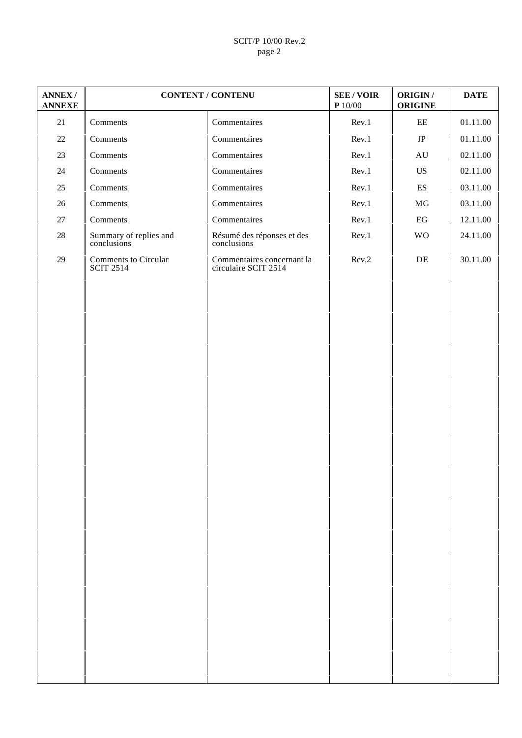# SCIT/P 10/00 Rev.2 page 2

| <b>ANNEX/</b><br><b>ANNEXE</b> | <b>CONTENT / CONTENU</b>              |                                                    | <b>SEE/VOIR</b><br>$\mathbf{P}$ 10/00 | ORIGIN /<br><b>ORIGINE</b> | <b>DATE</b> |
|--------------------------------|---------------------------------------|----------------------------------------------------|---------------------------------------|----------------------------|-------------|
| 21                             | Comments                              | Commentaires                                       | Rev.1                                 | $\rm{EE}$                  | 01.11.00    |
| $22\,$                         | Comments                              | Commentaires                                       | Rev.1                                 | $\rm{JP}$                  | 01.11.00    |
| $23\,$                         | Comments                              | Commentaires                                       | Rev.1                                 | $\mathrm{AU}$              | 02.11.00    |
| $24\,$                         | Comments                              | Commentaires                                       | Rev.1                                 | US                         | 02.11.00    |
| $25\,$                         | Comments                              | Commentaires                                       | Rev.1                                 | $\mathop{\hbox{\rm ES}}$   | 03.11.00    |
| $26\,$                         | Comments                              | Commentaires                                       | Rev.1                                 | $\rm MG$                   | 03.11.00    |
| $27\,$                         | Comments                              | Commentaires                                       | Rev.1                                 | $\operatorname{EG}$        | 12.11.00    |
| $28\,$                         | Summary of replies and<br>conclusions | Résumé des réponses et des<br>conclusions          | Rev.1                                 | <b>WO</b>                  | 24.11.00    |
| $29\,$                         | Comments to Circular<br>SCIT 2514     | Commentaires concernant la<br>circulaire SCIT 2514 | Rev.2                                 | $\rm{DE}$                  | 30.11.00    |
|                                |                                       |                                                    |                                       |                            |             |
|                                |                                       |                                                    |                                       |                            |             |
|                                |                                       |                                                    |                                       |                            |             |
|                                |                                       |                                                    |                                       |                            |             |
|                                |                                       |                                                    |                                       |                            |             |
|                                |                                       |                                                    |                                       |                            |             |
|                                |                                       |                                                    |                                       |                            |             |
|                                |                                       |                                                    |                                       |                            |             |
|                                |                                       |                                                    |                                       |                            |             |
|                                |                                       |                                                    |                                       |                            |             |
|                                |                                       |                                                    |                                       |                            |             |
|                                |                                       |                                                    |                                       |                            |             |
|                                |                                       |                                                    |                                       |                            |             |
|                                |                                       |                                                    |                                       |                            |             |
|                                |                                       |                                                    |                                       |                            |             |
|                                |                                       |                                                    |                                       |                            |             |
|                                |                                       |                                                    |                                       |                            |             |
|                                |                                       |                                                    |                                       |                            |             |
|                                |                                       |                                                    |                                       |                            |             |